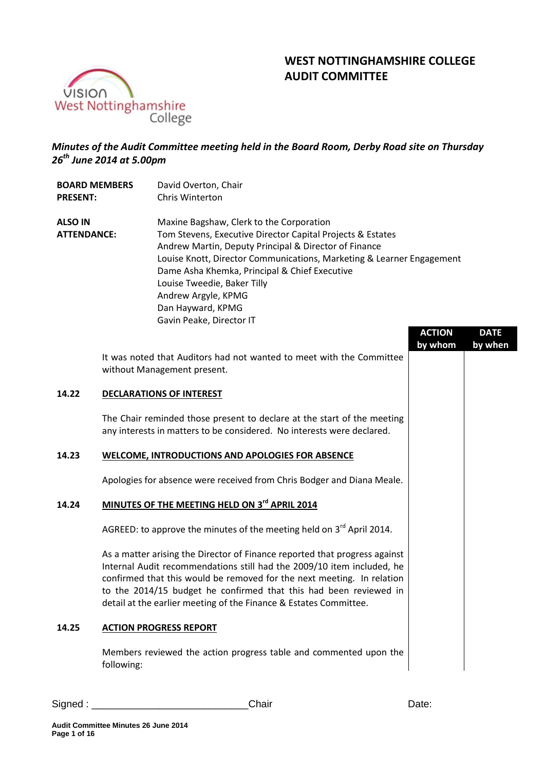# **WEST NOTTINGHAMSHIRE COLLEGE AUDIT COMMITTEE**



## *Minutes of the Audit Committee meeting held in the Board Room, Derby Road site on Thursday 26th June 2014 at 5.00pm*

| <b>BOARD MEMBERS</b><br><b>PRESENT:</b> |  | David Overton, Chair<br>Chris Winterton                                                                                                                                                                                                                                                                                                                                                          |               |             |
|-----------------------------------------|--|--------------------------------------------------------------------------------------------------------------------------------------------------------------------------------------------------------------------------------------------------------------------------------------------------------------------------------------------------------------------------------------------------|---------------|-------------|
| <b>ALSO IN</b><br><b>ATTENDANCE:</b>    |  | Maxine Bagshaw, Clerk to the Corporation<br>Tom Stevens, Executive Director Capital Projects & Estates<br>Andrew Martin, Deputy Principal & Director of Finance<br>Louise Knott, Director Communications, Marketing & Learner Engagement<br>Dame Asha Khemka, Principal & Chief Executive<br>Louise Tweedie, Baker Tilly<br>Andrew Argyle, KPMG<br>Dan Hayward, KPMG<br>Gavin Peake, Director IT | <b>ACTION</b> | <b>DATE</b> |
|                                         |  | It was noted that Auditors had not wanted to meet with the Committee<br>without Management present.                                                                                                                                                                                                                                                                                              | by whom       | by when     |
| 14.22                                   |  | <b>DECLARATIONS OF INTEREST</b>                                                                                                                                                                                                                                                                                                                                                                  |               |             |
|                                         |  | The Chair reminded those present to declare at the start of the meeting<br>any interests in matters to be considered. No interests were declared.                                                                                                                                                                                                                                                |               |             |
| 14.23                                   |  | WELCOME, INTRODUCTIONS AND APOLOGIES FOR ABSENCE                                                                                                                                                                                                                                                                                                                                                 |               |             |
|                                         |  | Apologies for absence were received from Chris Bodger and Diana Meale.                                                                                                                                                                                                                                                                                                                           |               |             |
| 14.24                                   |  | MINUTES OF THE MEETING HELD ON 3rd APRIL 2014                                                                                                                                                                                                                                                                                                                                                    |               |             |
|                                         |  | AGREED: to approve the minutes of the meeting held on $3^{rd}$ April 2014.                                                                                                                                                                                                                                                                                                                       |               |             |
|                                         |  | As a matter arising the Director of Finance reported that progress against<br>Internal Audit recommendations still had the 2009/10 item included, he<br>confirmed that this would be removed for the next meeting. In relation<br>to the 2014/15 budget he confirmed that this had been reviewed in<br>detail at the earlier meeting of the Finance & Estates Committee.                         |               |             |

## **14.25 ACTION PROGRESS REPORT**

Members reviewed the action progress table and commented upon the following: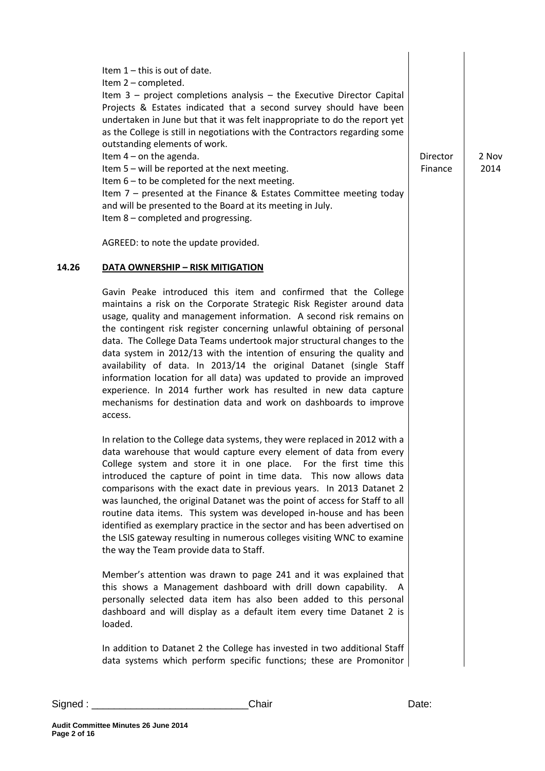|       | Item $1$ – this is out of date.<br>Item 2 - completed.<br>Item $3$ – project completions analysis – the Executive Director Capital<br>Projects & Estates indicated that a second survey should have been<br>undertaken in June but that it was felt inappropriate to do the report yet<br>as the College is still in negotiations with the Contractors regarding some<br>outstanding elements of work.<br>Item $4$ – on the agenda.<br>Item 5 - will be reported at the next meeting.<br>Item $6 -$ to be completed for the next meeting.<br>Item $7$ – presented at the Finance & Estates Committee meeting today<br>and will be presented to the Board at its meeting in July.<br>Item 8 - completed and progressing.                           | Director<br>Finance | 2 Nov<br>2014 |
|-------|---------------------------------------------------------------------------------------------------------------------------------------------------------------------------------------------------------------------------------------------------------------------------------------------------------------------------------------------------------------------------------------------------------------------------------------------------------------------------------------------------------------------------------------------------------------------------------------------------------------------------------------------------------------------------------------------------------------------------------------------------|---------------------|---------------|
|       | AGREED: to note the update provided.                                                                                                                                                                                                                                                                                                                                                                                                                                                                                                                                                                                                                                                                                                              |                     |               |
| 14.26 | <b>DATA OWNERSHIP - RISK MITIGATION</b>                                                                                                                                                                                                                                                                                                                                                                                                                                                                                                                                                                                                                                                                                                           |                     |               |
|       | Gavin Peake introduced this item and confirmed that the College<br>maintains a risk on the Corporate Strategic Risk Register around data<br>usage, quality and management information. A second risk remains on<br>the contingent risk register concerning unlawful obtaining of personal<br>data. The College Data Teams undertook major structural changes to the<br>data system in 2012/13 with the intention of ensuring the quality and<br>availability of data. In 2013/14 the original Datanet (single Staff<br>information location for all data) was updated to provide an improved<br>experience. In 2014 further work has resulted in new data capture<br>mechanisms for destination data and work on dashboards to improve<br>access. |                     |               |
|       | In relation to the College data systems, they were replaced in 2012 with a<br>data warehouse that would capture every element of data from every<br>College system and store it in one place. For the first time this<br>introduced the capture of point in time data. This now allows data<br>comparisons with the exact date in previous years. In 2013 Datanet 2<br>was launched, the original Datanet was the point of access for Staff to all<br>routine data items. This system was developed in-house and has been<br>identified as exemplary practice in the sector and has been advertised on<br>the LSIS gateway resulting in numerous colleges visiting WNC to examine<br>the way the Team provide data to Staff.                      |                     |               |
|       | Member's attention was drawn to page 241 and it was explained that<br>this shows a Management dashboard with drill down capability. A<br>personally selected data item has also been added to this personal<br>dashboard and will display as a default item every time Datanet 2 is<br>loaded.                                                                                                                                                                                                                                                                                                                                                                                                                                                    |                     |               |
|       | In addition to Datanet 2 the College has invested in two additional Staff<br>data systems which perform specific functions; these are Promonitor                                                                                                                                                                                                                                                                                                                                                                                                                                                                                                                                                                                                  |                     |               |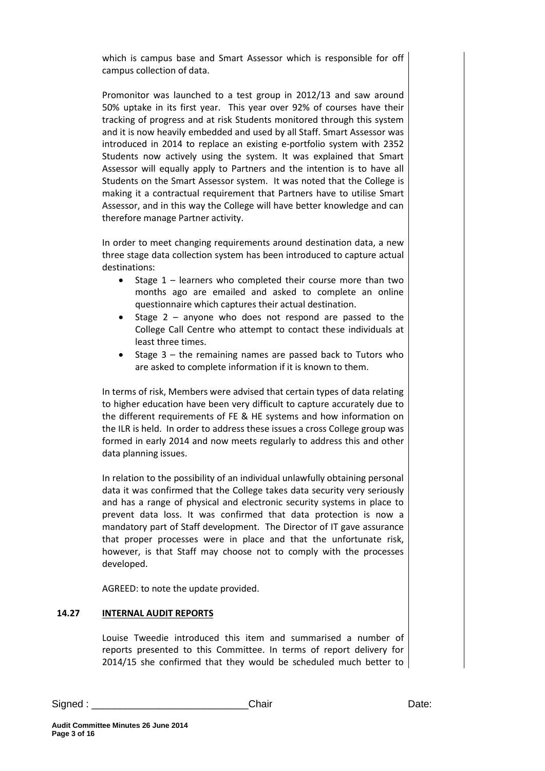which is campus base and Smart Assessor which is responsible for off campus collection of data.

Promonitor was launched to a test group in 2012/13 and saw around 50% uptake in its first year. This year over 92% of courses have their tracking of progress and at risk Students monitored through this system and it is now heavily embedded and used by all Staff. Smart Assessor was introduced in 2014 to replace an existing e-portfolio system with 2352 Students now actively using the system. It was explained that Smart Assessor will equally apply to Partners and the intention is to have all Students on the Smart Assessor system. It was noted that the College is making it a contractual requirement that Partners have to utilise Smart Assessor, and in this way the College will have better knowledge and can therefore manage Partner activity.

In order to meet changing requirements around destination data, a new three stage data collection system has been introduced to capture actual destinations:

- Stage  $1$  learners who completed their course more than two months ago are emailed and asked to complete an online questionnaire which captures their actual destination.
- Stage  $2$  anyone who does not respond are passed to the College Call Centre who attempt to contact these individuals at least three times.
- Stage  $3$  the remaining names are passed back to Tutors who are asked to complete information if it is known to them.

In terms of risk, Members were advised that certain types of data relating to higher education have been very difficult to capture accurately due to the different requirements of FE & HE systems and how information on the ILR is held. In order to address these issues a cross College group was formed in early 2014 and now meets regularly to address this and other data planning issues.

In relation to the possibility of an individual unlawfully obtaining personal data it was confirmed that the College takes data security very seriously and has a range of physical and electronic security systems in place to prevent data loss. It was confirmed that data protection is now a mandatory part of Staff development. The Director of IT gave assurance that proper processes were in place and that the unfortunate risk, however, is that Staff may choose not to comply with the processes developed.

AGREED: to note the update provided.

#### **14.27 INTERNAL AUDIT REPORTS**

Louise Tweedie introduced this item and summarised a number of reports presented to this Committee. In terms of report delivery for 2014/15 she confirmed that they would be scheduled much better to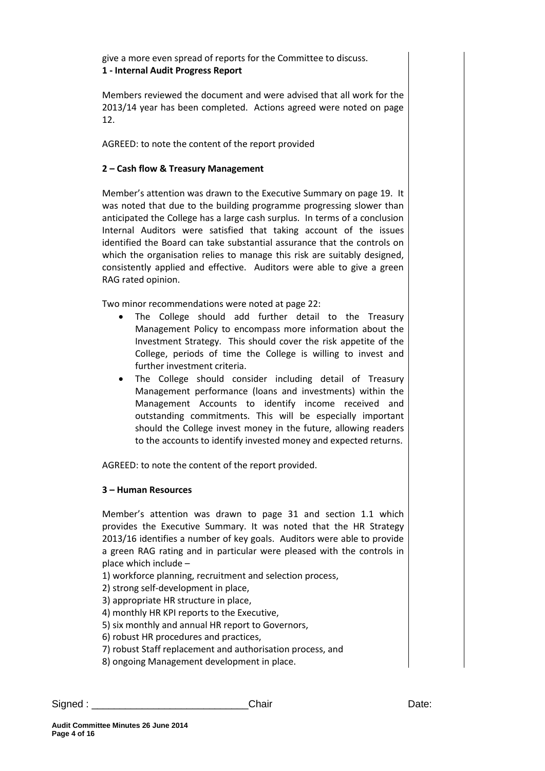give a more even spread of reports for the Committee to discuss. **1 - Internal Audit Progress Report**

Members reviewed the document and were advised that all work for the 2013/14 year has been completed. Actions agreed were noted on page 12.

AGREED: to note the content of the report provided

#### **2 – Cash flow & Treasury Management**

Member's attention was drawn to the Executive Summary on page 19. It was noted that due to the building programme progressing slower than anticipated the College has a large cash surplus. In terms of a conclusion Internal Auditors were satisfied that taking account of the issues identified the Board can take substantial assurance that the controls on which the organisation relies to manage this risk are suitably designed, consistently applied and effective. Auditors were able to give a green RAG rated opinion.

Two minor recommendations were noted at page 22:

- The College should add further detail to the Treasury Management Policy to encompass more information about the Investment Strategy. This should cover the risk appetite of the College, periods of time the College is willing to invest and further investment criteria.
- The College should consider including detail of Treasury Management performance (loans and investments) within the Management Accounts to identify income received and outstanding commitments. This will be especially important should the College invest money in the future, allowing readers to the accounts to identify invested money and expected returns.

AGREED: to note the content of the report provided.

## **3 – Human Resources**

Member's attention was drawn to page 31 and section 1.1 which provides the Executive Summary. It was noted that the HR Strategy 2013/16 identifies a number of key goals. Auditors were able to provide a green RAG rating and in particular were pleased with the controls in place which include –

1) workforce planning, recruitment and selection process,

2) strong self-development in place,

3) appropriate HR structure in place,

4) monthly HR KPI reports to the Executive,

5) six monthly and annual HR report to Governors,

6) robust HR procedures and practices,

7) robust Staff replacement and authorisation process, and

8) ongoing Management development in place.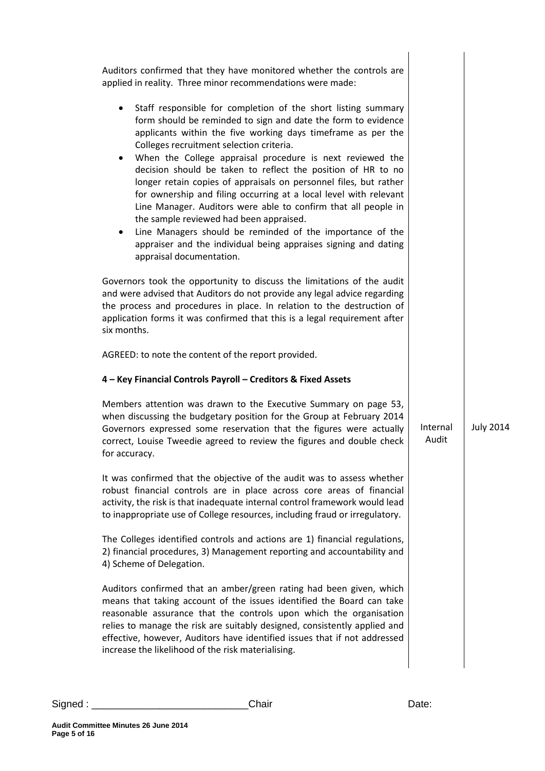| Auditors confirmed that they have monitored whether the controls are<br>applied in reality. Three minor recommendations were made:<br>Staff responsible for completion of the short listing summary<br>$\bullet$<br>form should be reminded to sign and date the form to evidence<br>applicants within the five working days timeframe as per the<br>Colleges recruitment selection criteria.<br>When the College appraisal procedure is next reviewed the<br>$\bullet$<br>decision should be taken to reflect the position of HR to no<br>longer retain copies of appraisals on personnel files, but rather<br>for ownership and filing occurring at a local level with relevant |                   |                  |
|-----------------------------------------------------------------------------------------------------------------------------------------------------------------------------------------------------------------------------------------------------------------------------------------------------------------------------------------------------------------------------------------------------------------------------------------------------------------------------------------------------------------------------------------------------------------------------------------------------------------------------------------------------------------------------------|-------------------|------------------|
| Line Manager. Auditors were able to confirm that all people in<br>the sample reviewed had been appraised.<br>Line Managers should be reminded of the importance of the<br>$\bullet$<br>appraiser and the individual being appraises signing and dating<br>appraisal documentation.                                                                                                                                                                                                                                                                                                                                                                                                |                   |                  |
| Governors took the opportunity to discuss the limitations of the audit<br>and were advised that Auditors do not provide any legal advice regarding<br>the process and procedures in place. In relation to the destruction of<br>application forms it was confirmed that this is a legal requirement after<br>six months.                                                                                                                                                                                                                                                                                                                                                          |                   |                  |
| AGREED: to note the content of the report provided.                                                                                                                                                                                                                                                                                                                                                                                                                                                                                                                                                                                                                               |                   |                  |
| 4 - Key Financial Controls Payroll - Creditors & Fixed Assets                                                                                                                                                                                                                                                                                                                                                                                                                                                                                                                                                                                                                     |                   |                  |
| Members attention was drawn to the Executive Summary on page 53,<br>when discussing the budgetary position for the Group at February 2014<br>Governors expressed some reservation that the figures were actually<br>correct, Louise Tweedie agreed to review the figures and double check<br>for accuracy.                                                                                                                                                                                                                                                                                                                                                                        | Internal<br>Audit | <b>July 2014</b> |
| It was confirmed that the objective of the audit was to assess whether<br>robust financial controls are in place across core areas of financial<br>activity, the risk is that inadequate internal control framework would lead<br>to inappropriate use of College resources, including fraud or irregulatory.                                                                                                                                                                                                                                                                                                                                                                     |                   |                  |
| The Colleges identified controls and actions are 1) financial regulations,<br>2) financial procedures, 3) Management reporting and accountability and<br>4) Scheme of Delegation.                                                                                                                                                                                                                                                                                                                                                                                                                                                                                                 |                   |                  |
| Auditors confirmed that an amber/green rating had been given, which                                                                                                                                                                                                                                                                                                                                                                                                                                                                                                                                                                                                               |                   |                  |
| means that taking account of the issues identified the Board can take<br>reasonable assurance that the controls upon which the organisation<br>relies to manage the risk are suitably designed, consistently applied and<br>effective, however, Auditors have identified issues that if not addressed<br>increase the likelihood of the risk materialising.                                                                                                                                                                                                                                                                                                                       |                   |                  |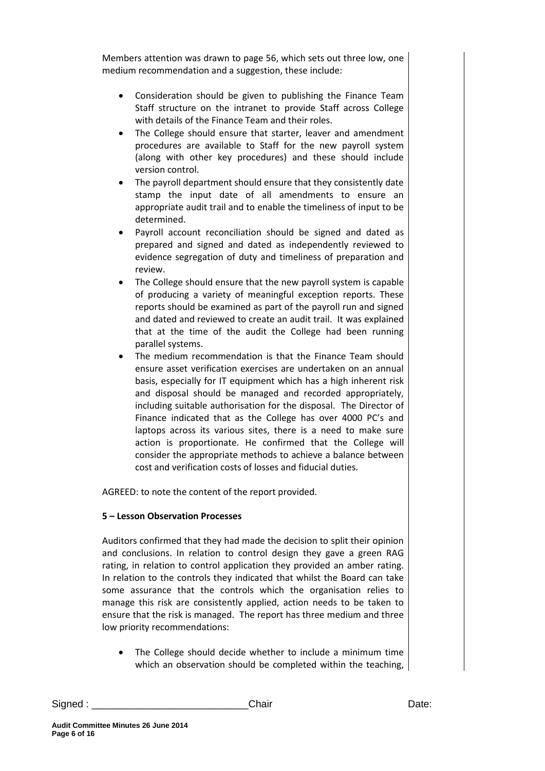Members attention was drawn to page 56, which sets out three low, one medium recommendation and a suggestion, these include:

- Consideration should be given to publishing the Finance Team Staff structure on the intranet to provide Staff across College with details of the Finance Team and their roles.
- The College should ensure that starter, leaver and amendment procedures are available to Staff for the new payroll system (along with other key procedures) and these should include version control.
- The payroll department should ensure that they consistently date stamp the input date of all amendments to ensure an appropriate audit trail and to enable the timeliness of input to be determined.
- Payroll account reconciliation should be signed and dated as prepared and signed and dated as independently reviewed to evidence segregation of duty and timeliness of preparation and review.
- The College should ensure that the new payroll system is capable of producing a variety of meaningful exception reports. These reports should be examined as part of the payroll run and signed and dated and reviewed to create an audit trail. It was explained that at the time of the audit the College had been running parallel systems.
- The medium recommendation is that the Finance Team should ensure asset verification exercises are undertaken on an annual basis, especially for IT equipment which has a high inherent risk and disposal should be managed and recorded appropriately, including suitable authorisation for the disposal. The Director of Finance indicated that as the College has over 4000 PC's and laptops across its various sites, there is a need to make sure action is proportionate. He confirmed that the College will consider the appropriate methods to achieve a balance between cost and verification costs of losses and fiducial duties.

AGREED: to note the content of the report provided.

## **5 – Lesson Observation Processes**

Auditors confirmed that they had made the decision to split their opinion and conclusions. In relation to control design they gave a green RAG rating, in relation to control application they provided an amber rating. In relation to the controls they indicated that whilst the Board can take some assurance that the controls which the organisation relies to manage this risk are consistently applied, action needs to be taken to ensure that the risk is managed. The report has three medium and three low priority recommendations:

 The College should decide whether to include a minimum time which an observation should be completed within the teaching,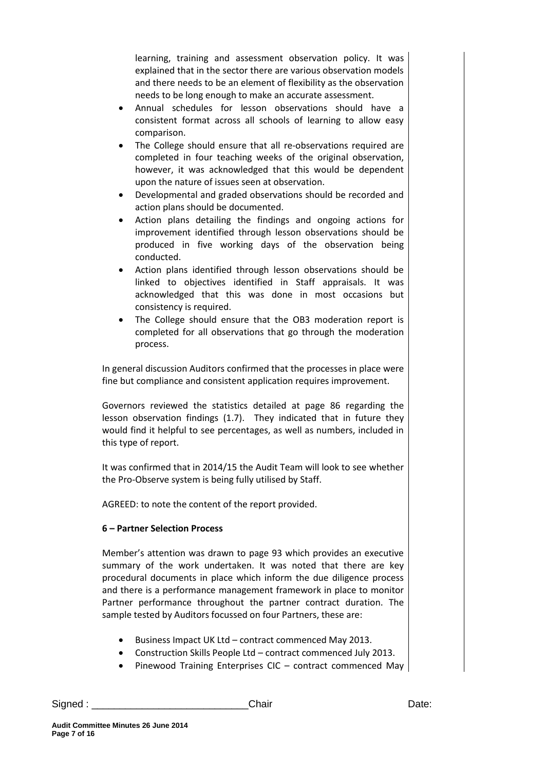learning, training and assessment observation policy. It was explained that in the sector there are various observation models and there needs to be an element of flexibility as the observation needs to be long enough to make an accurate assessment.

- Annual schedules for lesson observations should have a consistent format across all schools of learning to allow easy comparison.
- The College should ensure that all re-observations required are completed in four teaching weeks of the original observation, however, it was acknowledged that this would be dependent upon the nature of issues seen at observation.
- Developmental and graded observations should be recorded and action plans should be documented.
- Action plans detailing the findings and ongoing actions for improvement identified through lesson observations should be produced in five working days of the observation being conducted.
- Action plans identified through lesson observations should be linked to objectives identified in Staff appraisals. It was acknowledged that this was done in most occasions but consistency is required.
- The College should ensure that the OB3 moderation report is completed for all observations that go through the moderation process.

In general discussion Auditors confirmed that the processes in place were fine but compliance and consistent application requires improvement.

Governors reviewed the statistics detailed at page 86 regarding the lesson observation findings (1.7). They indicated that in future they would find it helpful to see percentages, as well as numbers, included in this type of report.

It was confirmed that in 2014/15 the Audit Team will look to see whether the Pro-Observe system is being fully utilised by Staff.

AGREED: to note the content of the report provided.

## **6 – Partner Selection Process**

Member's attention was drawn to page 93 which provides an executive summary of the work undertaken. It was noted that there are key procedural documents in place which inform the due diligence process and there is a performance management framework in place to monitor Partner performance throughout the partner contract duration. The sample tested by Auditors focussed on four Partners, these are:

- Business Impact UK Ltd contract commenced May 2013.
- Construction Skills People Ltd contract commenced July 2013.
- Pinewood Training Enterprises CIC contract commenced May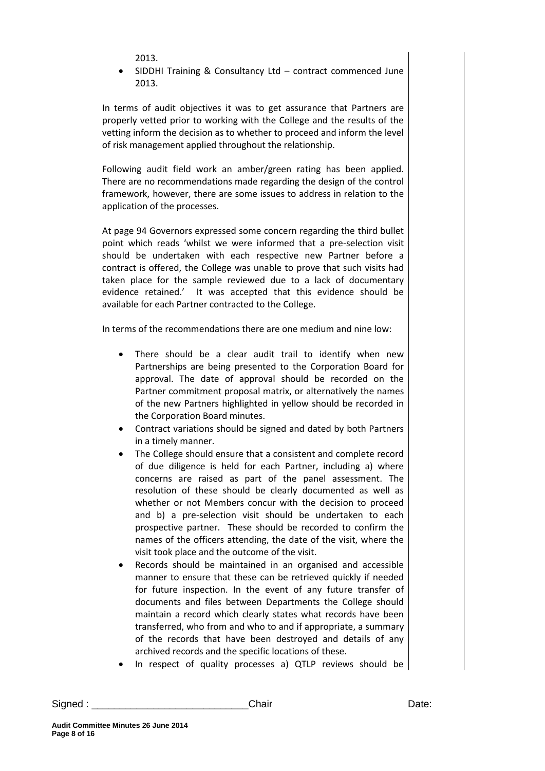2013.

 SIDDHI Training & Consultancy Ltd – contract commenced June 2013.

In terms of audit objectives it was to get assurance that Partners are properly vetted prior to working with the College and the results of the vetting inform the decision as to whether to proceed and inform the level of risk management applied throughout the relationship.

Following audit field work an amber/green rating has been applied. There are no recommendations made regarding the design of the control framework, however, there are some issues to address in relation to the application of the processes.

At page 94 Governors expressed some concern regarding the third bullet point which reads 'whilst we were informed that a pre-selection visit should be undertaken with each respective new Partner before a contract is offered, the College was unable to prove that such visits had taken place for the sample reviewed due to a lack of documentary evidence retained.' It was accepted that this evidence should be available for each Partner contracted to the College.

In terms of the recommendations there are one medium and nine low:

- There should be a clear audit trail to identify when new Partnerships are being presented to the Corporation Board for approval. The date of approval should be recorded on the Partner commitment proposal matrix, or alternatively the names of the new Partners highlighted in yellow should be recorded in the Corporation Board minutes.
- Contract variations should be signed and dated by both Partners in a timely manner.
- The College should ensure that a consistent and complete record of due diligence is held for each Partner, including a) where concerns are raised as part of the panel assessment. The resolution of these should be clearly documented as well as whether or not Members concur with the decision to proceed and b) a pre-selection visit should be undertaken to each prospective partner. These should be recorded to confirm the names of the officers attending, the date of the visit, where the visit took place and the outcome of the visit.
- Records should be maintained in an organised and accessible manner to ensure that these can be retrieved quickly if needed for future inspection. In the event of any future transfer of documents and files between Departments the College should maintain a record which clearly states what records have been transferred, who from and who to and if appropriate, a summary of the records that have been destroyed and details of any archived records and the specific locations of these.
- In respect of quality processes a) QTLP reviews should be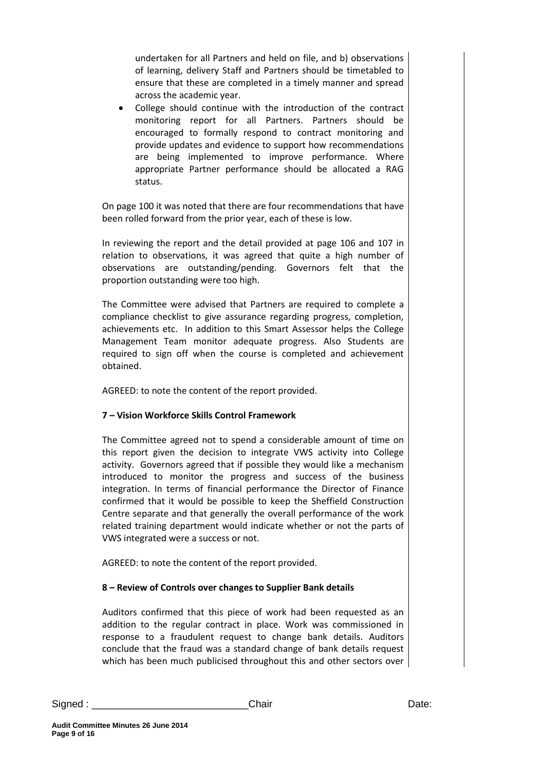undertaken for all Partners and held on file, and b) observations of learning, delivery Staff and Partners should be timetabled to ensure that these are completed in a timely manner and spread across the academic year.

 College should continue with the introduction of the contract monitoring report for all Partners. Partners should be encouraged to formally respond to contract monitoring and provide updates and evidence to support how recommendations are being implemented to improve performance. Where appropriate Partner performance should be allocated a RAG status.

On page 100 it was noted that there are four recommendations that have been rolled forward from the prior year, each of these is low.

In reviewing the report and the detail provided at page 106 and 107 in relation to observations, it was agreed that quite a high number of observations are outstanding/pending. Governors felt that the proportion outstanding were too high.

The Committee were advised that Partners are required to complete a compliance checklist to give assurance regarding progress, completion, achievements etc. In addition to this Smart Assessor helps the College Management Team monitor adequate progress. Also Students are required to sign off when the course is completed and achievement obtained.

AGREED: to note the content of the report provided.

## **7 – Vision Workforce Skills Control Framework**

The Committee agreed not to spend a considerable amount of time on this report given the decision to integrate VWS activity into College activity. Governors agreed that if possible they would like a mechanism introduced to monitor the progress and success of the business integration. In terms of financial performance the Director of Finance confirmed that it would be possible to keep the Sheffield Construction Centre separate and that generally the overall performance of the work related training department would indicate whether or not the parts of VWS integrated were a success or not.

AGREED: to note the content of the report provided.

## **8 – Review of Controls over changes to Supplier Bank details**

Auditors confirmed that this piece of work had been requested as an addition to the regular contract in place. Work was commissioned in response to a fraudulent request to change bank details. Auditors conclude that the fraud was a standard change of bank details request which has been much publicised throughout this and other sectors over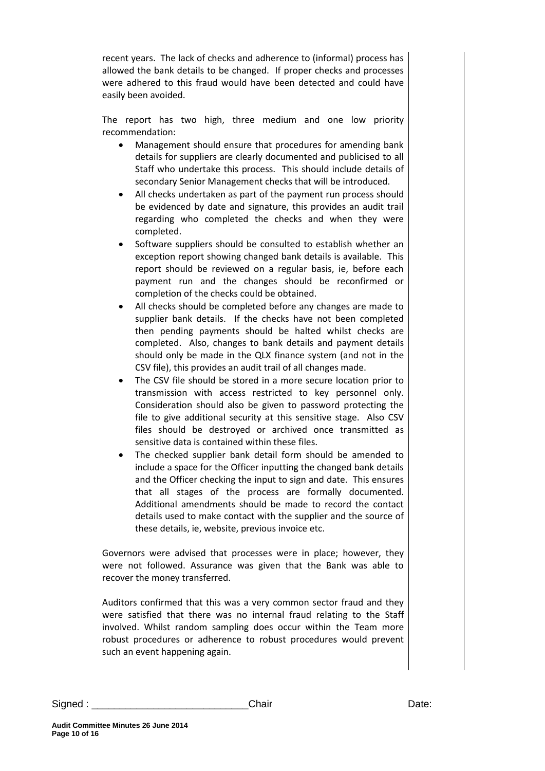recent years. The lack of checks and adherence to (informal) process has allowed the bank details to be changed. If proper checks and processes were adhered to this fraud would have been detected and could have easily been avoided.

The report has two high, three medium and one low priority recommendation:

- Management should ensure that procedures for amending bank details for suppliers are clearly documented and publicised to all Staff who undertake this process. This should include details of secondary Senior Management checks that will be introduced.
- All checks undertaken as part of the payment run process should be evidenced by date and signature, this provides an audit trail regarding who completed the checks and when they were completed.
- Software suppliers should be consulted to establish whether an exception report showing changed bank details is available. This report should be reviewed on a regular basis, ie, before each payment run and the changes should be reconfirmed or completion of the checks could be obtained.
- All checks should be completed before any changes are made to supplier bank details. If the checks have not been completed then pending payments should be halted whilst checks are completed. Also, changes to bank details and payment details should only be made in the QLX finance system (and not in the CSV file), this provides an audit trail of all changes made.
- The CSV file should be stored in a more secure location prior to transmission with access restricted to key personnel only. Consideration should also be given to password protecting the file to give additional security at this sensitive stage. Also CSV files should be destroyed or archived once transmitted as sensitive data is contained within these files.
- The checked supplier bank detail form should be amended to include a space for the Officer inputting the changed bank details and the Officer checking the input to sign and date. This ensures that all stages of the process are formally documented. Additional amendments should be made to record the contact details used to make contact with the supplier and the source of these details, ie, website, previous invoice etc.

Governors were advised that processes were in place; however, they were not followed. Assurance was given that the Bank was able to recover the money transferred.

Auditors confirmed that this was a very common sector fraud and they were satisfied that there was no internal fraud relating to the Staff involved. Whilst random sampling does occur within the Team more robust procedures or adherence to robust procedures would prevent such an event happening again.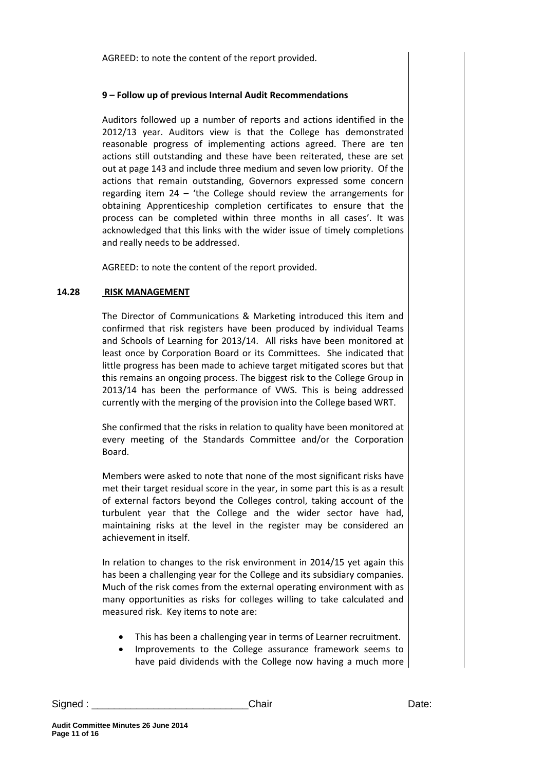AGREED: to note the content of the report provided.

#### **9 – Follow up of previous Internal Audit Recommendations**

Auditors followed up a number of reports and actions identified in the 2012/13 year. Auditors view is that the College has demonstrated reasonable progress of implementing actions agreed. There are ten actions still outstanding and these have been reiterated, these are set out at page 143 and include three medium and seven low priority. Of the actions that remain outstanding, Governors expressed some concern regarding item 24 – 'the College should review the arrangements for obtaining Apprenticeship completion certificates to ensure that the process can be completed within three months in all cases'. It was acknowledged that this links with the wider issue of timely completions and really needs to be addressed.

AGREED: to note the content of the report provided.

#### **14.28 RISK MANAGEMENT**

The Director of Communications & Marketing introduced this item and confirmed that risk registers have been produced by individual Teams and Schools of Learning for 2013/14. All risks have been monitored at least once by Corporation Board or its Committees. She indicated that little progress has been made to achieve target mitigated scores but that this remains an ongoing process. The biggest risk to the College Group in 2013/14 has been the performance of VWS. This is being addressed currently with the merging of the provision into the College based WRT.

She confirmed that the risks in relation to quality have been monitored at every meeting of the Standards Committee and/or the Corporation Board.

Members were asked to note that none of the most significant risks have met their target residual score in the year, in some part this is as a result of external factors beyond the Colleges control, taking account of the turbulent year that the College and the wider sector have had, maintaining risks at the level in the register may be considered an achievement in itself.

In relation to changes to the risk environment in 2014/15 yet again this has been a challenging year for the College and its subsidiary companies. Much of the risk comes from the external operating environment with as many opportunities as risks for colleges willing to take calculated and measured risk. Key items to note are:

- This has been a challenging year in terms of Learner recruitment.
- Improvements to the College assurance framework seems to have paid dividends with the College now having a much more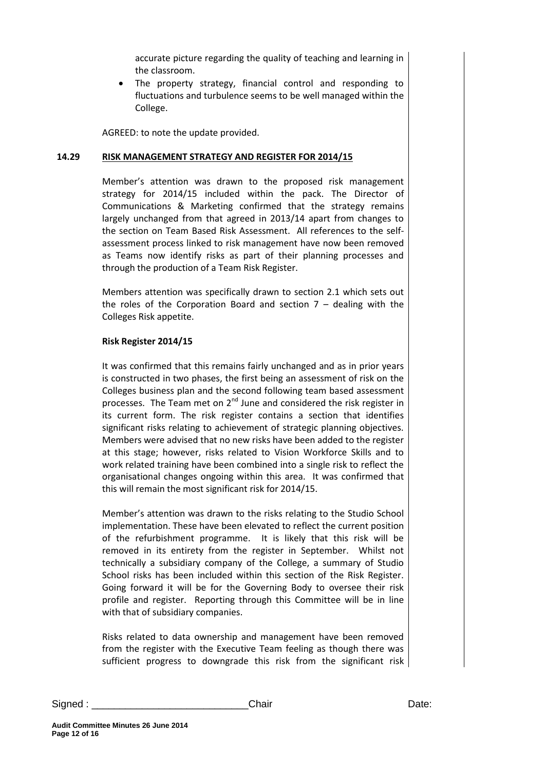accurate picture regarding the quality of teaching and learning in the classroom.

 The property strategy, financial control and responding to fluctuations and turbulence seems to be well managed within the College.

AGREED: to note the update provided.

#### **14.29 RISK MANAGEMENT STRATEGY AND REGISTER FOR 2014/15**

Member's attention was drawn to the proposed risk management strategy for 2014/15 included within the pack. The Director of Communications & Marketing confirmed that the strategy remains largely unchanged from that agreed in 2013/14 apart from changes to the section on Team Based Risk Assessment. All references to the selfassessment process linked to risk management have now been removed as Teams now identify risks as part of their planning processes and through the production of a Team Risk Register.

Members attention was specifically drawn to section 2.1 which sets out the roles of the Corporation Board and section  $7 -$  dealing with the Colleges Risk appetite.

#### **Risk Register 2014/15**

It was confirmed that this remains fairly unchanged and as in prior years is constructed in two phases, the first being an assessment of risk on the Colleges business plan and the second following team based assessment processes. The Team met on  $2^{nd}$  June and considered the risk register in its current form. The risk register contains a section that identifies significant risks relating to achievement of strategic planning objectives. Members were advised that no new risks have been added to the register at this stage; however, risks related to Vision Workforce Skills and to work related training have been combined into a single risk to reflect the organisational changes ongoing within this area. It was confirmed that this will remain the most significant risk for 2014/15.

Member's attention was drawn to the risks relating to the Studio School implementation. These have been elevated to reflect the current position of the refurbishment programme. It is likely that this risk will be removed in its entirety from the register in September. Whilst not technically a subsidiary company of the College, a summary of Studio School risks has been included within this section of the Risk Register. Going forward it will be for the Governing Body to oversee their risk profile and register. Reporting through this Committee will be in line with that of subsidiary companies.

Risks related to data ownership and management have been removed from the register with the Executive Team feeling as though there was sufficient progress to downgrade this risk from the significant risk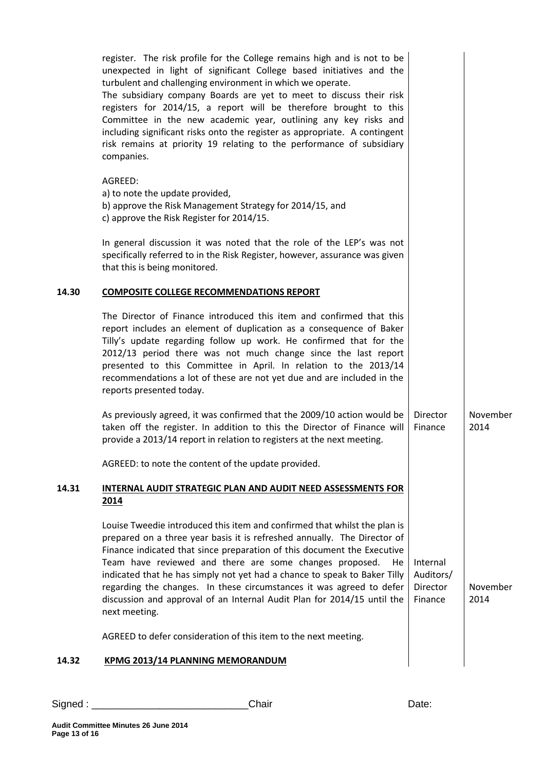|       | register. The risk profile for the College remains high and is not to be<br>unexpected in light of significant College based initiatives and the<br>turbulent and challenging environment in which we operate.<br>The subsidiary company Boards are yet to meet to discuss their risk<br>registers for 2014/15, a report will be therefore brought to this<br>Committee in the new academic year, outlining any key risks and<br>including significant risks onto the register as appropriate. A contingent<br>risk remains at priority 19 relating to the performance of subsidiary<br>companies. |                                              |                  |
|-------|----------------------------------------------------------------------------------------------------------------------------------------------------------------------------------------------------------------------------------------------------------------------------------------------------------------------------------------------------------------------------------------------------------------------------------------------------------------------------------------------------------------------------------------------------------------------------------------------------|----------------------------------------------|------------------|
|       | AGREED:<br>a) to note the update provided,<br>b) approve the Risk Management Strategy for 2014/15, and<br>c) approve the Risk Register for 2014/15.                                                                                                                                                                                                                                                                                                                                                                                                                                                |                                              |                  |
|       | In general discussion it was noted that the role of the LEP's was not<br>specifically referred to in the Risk Register, however, assurance was given<br>that this is being monitored.                                                                                                                                                                                                                                                                                                                                                                                                              |                                              |                  |
| 14.30 | <b>COMPOSITE COLLEGE RECOMMENDATIONS REPORT</b>                                                                                                                                                                                                                                                                                                                                                                                                                                                                                                                                                    |                                              |                  |
|       | The Director of Finance introduced this item and confirmed that this<br>report includes an element of duplication as a consequence of Baker<br>Tilly's update regarding follow up work. He confirmed that for the<br>2012/13 period there was not much change since the last report<br>presented to this Committee in April. In relation to the 2013/14<br>recommendations a lot of these are not yet due and are included in the<br>reports presented today.                                                                                                                                      |                                              |                  |
|       | As previously agreed, it was confirmed that the 2009/10 action would be<br>taken off the register. In addition to this the Director of Finance will<br>provide a 2013/14 report in relation to registers at the next meeting.                                                                                                                                                                                                                                                                                                                                                                      | Director<br>Finance                          | November<br>2014 |
|       | AGREED: to note the content of the update provided.                                                                                                                                                                                                                                                                                                                                                                                                                                                                                                                                                |                                              |                  |
| 14.31 | INTERNAL AUDIT STRATEGIC PLAN AND AUDIT NEED ASSESSMENTS FOR<br>2014                                                                                                                                                                                                                                                                                                                                                                                                                                                                                                                               |                                              |                  |
|       | Louise Tweedie introduced this item and confirmed that whilst the plan is<br>prepared on a three year basis it is refreshed annually. The Director of<br>Finance indicated that since preparation of this document the Executive<br>Team have reviewed and there are some changes proposed.<br>He.<br>indicated that he has simply not yet had a chance to speak to Baker Tilly<br>regarding the changes. In these circumstances it was agreed to defer<br>discussion and approval of an Internal Audit Plan for 2014/15 until the<br>next meeting.                                                | Internal<br>Auditors/<br>Director<br>Finance | November<br>2014 |
|       | AGREED to defer consideration of this item to the next meeting.                                                                                                                                                                                                                                                                                                                                                                                                                                                                                                                                    |                                              |                  |
| 14.32 | <b>KPMG 2013/14 PLANNING MEMORANDUM</b>                                                                                                                                                                                                                                                                                                                                                                                                                                                                                                                                                            |                                              |                  |
|       |                                                                                                                                                                                                                                                                                                                                                                                                                                                                                                                                                                                                    |                                              |                  |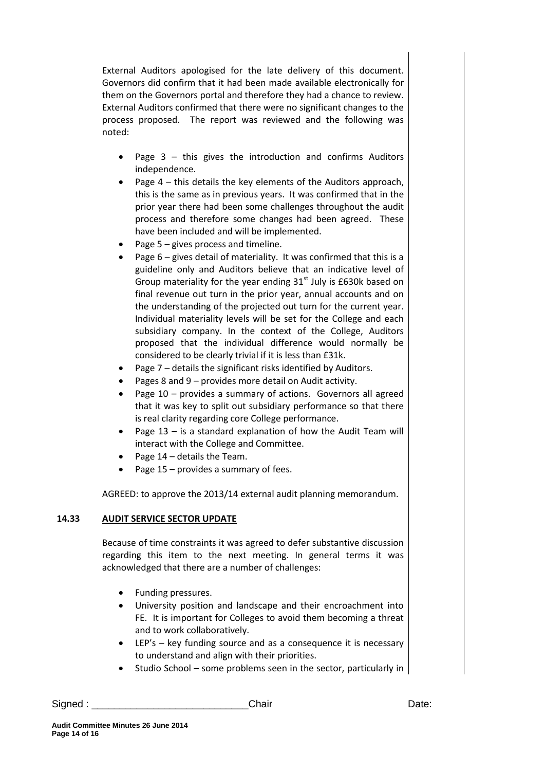External Auditors apologised for the late delivery of this document. Governors did confirm that it had been made available electronically for them on the Governors portal and therefore they had a chance to review. External Auditors confirmed that there were no significant changes to the process proposed. The report was reviewed and the following was noted:

- Page  $3 -$  this gives the introduction and confirms Auditors independence.
- Page 4 this details the key elements of the Auditors approach, this is the same as in previous years. It was confirmed that in the prior year there had been some challenges throughout the audit process and therefore some changes had been agreed. These have been included and will be implemented.
- Page 5 gives process and timeline.
- Page 6 gives detail of materiality. It was confirmed that this is a guideline only and Auditors believe that an indicative level of Group materiality for the year ending  $31<sup>st</sup>$  July is £630k based on final revenue out turn in the prior year, annual accounts and on the understanding of the projected out turn for the current year. Individual materiality levels will be set for the College and each subsidiary company. In the context of the College, Auditors proposed that the individual difference would normally be considered to be clearly trivial if it is less than £31k.
- Page 7 details the significant risks identified by Auditors.
- Pages 8 and 9 provides more detail on Audit activity.
- Page 10 provides a summary of actions. Governors all agreed that it was key to split out subsidiary performance so that there is real clarity regarding core College performance.
- Page 13 is a standard explanation of how the Audit Team will interact with the College and Committee.
- Page 14 details the Team.
- Page  $15$  provides a summary of fees.

AGREED: to approve the 2013/14 external audit planning memorandum.

## **14.33 AUDIT SERVICE SECTOR UPDATE**

Because of time constraints it was agreed to defer substantive discussion regarding this item to the next meeting. In general terms it was acknowledged that there are a number of challenges:

- Funding pressures.
- University position and landscape and their encroachment into FE. It is important for Colleges to avoid them becoming a threat and to work collaboratively.
- LEP's key funding source and as a consequence it is necessary to understand and align with their priorities.
- Studio School some problems seen in the sector, particularly in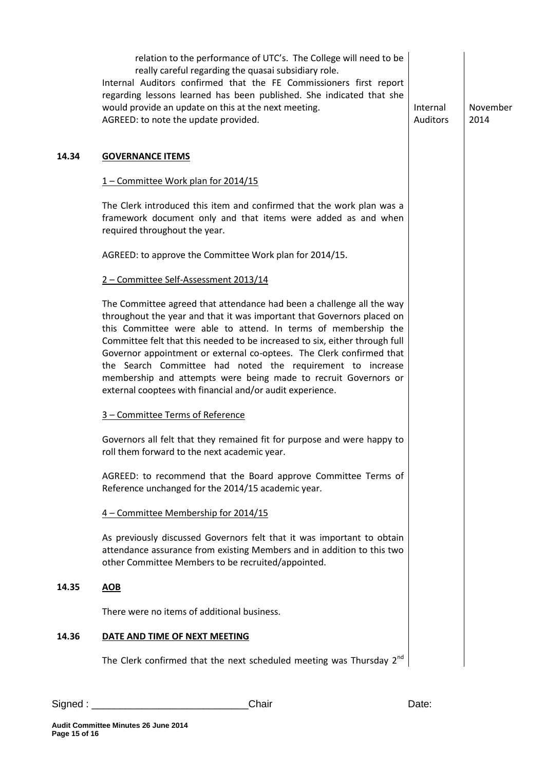|       | relation to the performance of UTC's. The College will need to be<br>really careful regarding the quasai subsidiary role.<br>Internal Auditors confirmed that the FE Commissioners first report<br>regarding lessons learned has been published. She indicated that she<br>would provide an update on this at the next meeting.<br>AGREED: to note the update provided.                                                                                                                                                                                                | Internal<br>Auditors | November<br>2014 |
|-------|------------------------------------------------------------------------------------------------------------------------------------------------------------------------------------------------------------------------------------------------------------------------------------------------------------------------------------------------------------------------------------------------------------------------------------------------------------------------------------------------------------------------------------------------------------------------|----------------------|------------------|
| 14.34 | <b>GOVERNANCE ITEMS</b>                                                                                                                                                                                                                                                                                                                                                                                                                                                                                                                                                |                      |                  |
|       | 1 - Committee Work plan for 2014/15                                                                                                                                                                                                                                                                                                                                                                                                                                                                                                                                    |                      |                  |
|       | The Clerk introduced this item and confirmed that the work plan was a<br>framework document only and that items were added as and when<br>required throughout the year.                                                                                                                                                                                                                                                                                                                                                                                                |                      |                  |
|       | AGREED: to approve the Committee Work plan for 2014/15.                                                                                                                                                                                                                                                                                                                                                                                                                                                                                                                |                      |                  |
|       | 2 - Committee Self-Assessment 2013/14                                                                                                                                                                                                                                                                                                                                                                                                                                                                                                                                  |                      |                  |
|       | The Committee agreed that attendance had been a challenge all the way<br>throughout the year and that it was important that Governors placed on<br>this Committee were able to attend. In terms of membership the<br>Committee felt that this needed to be increased to six, either through full<br>Governor appointment or external co-optees. The Clerk confirmed that<br>the Search Committee had noted the requirement to increase<br>membership and attempts were being made to recruit Governors or<br>external cooptees with financial and/or audit experience. |                      |                  |
|       | 3 - Committee Terms of Reference                                                                                                                                                                                                                                                                                                                                                                                                                                                                                                                                       |                      |                  |
|       | Governors all felt that they remained fit for purpose and were happy to<br>roll them forward to the next academic year.                                                                                                                                                                                                                                                                                                                                                                                                                                                |                      |                  |
|       | AGREED: to recommend that the Board approve Committee Terms of<br>Reference unchanged for the 2014/15 academic year.                                                                                                                                                                                                                                                                                                                                                                                                                                                   |                      |                  |
|       | 4 - Committee Membership for 2014/15                                                                                                                                                                                                                                                                                                                                                                                                                                                                                                                                   |                      |                  |
|       | As previously discussed Governors felt that it was important to obtain<br>attendance assurance from existing Members and in addition to this two<br>other Committee Members to be recruited/appointed.                                                                                                                                                                                                                                                                                                                                                                 |                      |                  |
| 14.35 | <b>AOB</b>                                                                                                                                                                                                                                                                                                                                                                                                                                                                                                                                                             |                      |                  |
|       | There were no items of additional business.                                                                                                                                                                                                                                                                                                                                                                                                                                                                                                                            |                      |                  |
| 14.36 | DATE AND TIME OF NEXT MEETING                                                                                                                                                                                                                                                                                                                                                                                                                                                                                                                                          |                      |                  |
|       | The Clerk confirmed that the next scheduled meeting was Thursday 2 <sup>nd</sup>                                                                                                                                                                                                                                                                                                                                                                                                                                                                                       |                      |                  |